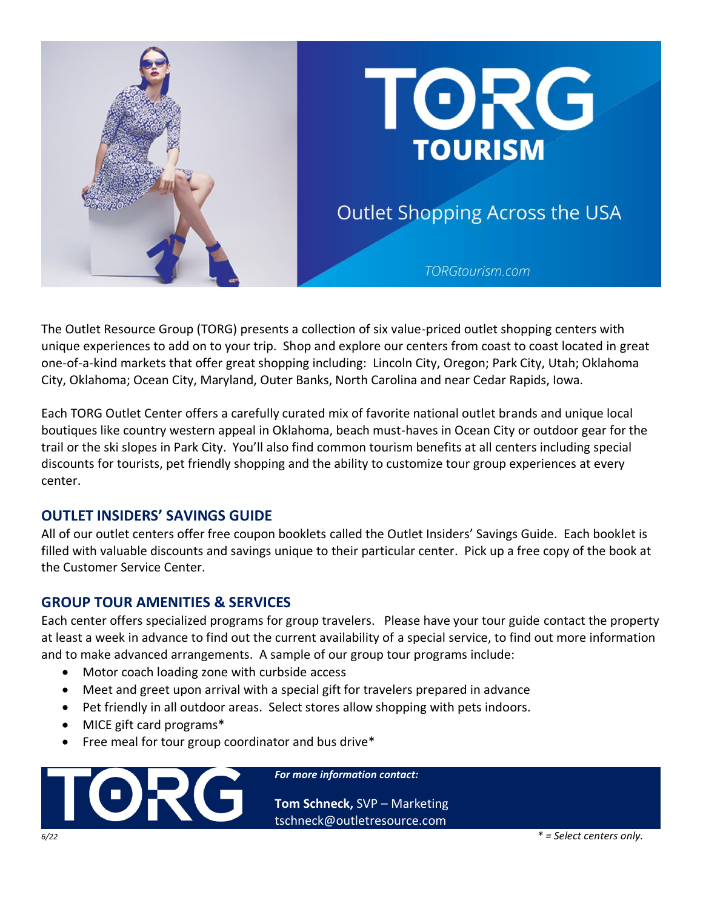

The Outlet Resource Group (TORG) presents a collection of six value-priced outlet shopping centers with unique experiences to add on to your trip. Shop and explore our centers from coast to coast located in great one-of-a-kind markets that offer great shopping including: Lincoln City, Oregon; Park City, Utah; Oklahoma City, Oklahoma; Ocean City, Maryland, Outer Banks, North Carolina and near Cedar Rapids, Iowa.

Each TORG Outlet Center offers a carefully curated mix of favorite national outlet brands and unique local boutiques like country western appeal in Oklahoma, beach must-haves in Ocean City or outdoor gear for the trail or the ski slopes in Park City. You'll also find common tourism benefits at all centers including special discounts for tourists, pet friendly shopping and the ability to customize tour group experiences at every center.

### **OUTLET INSIDERS' SAVINGS GUIDE**

All of our outlet centers offer free coupon booklets called the Outlet Insiders' Savings Guide. Each booklet is filled with valuable discounts and savings unique to their particular center. Pick up a free copy of the book at the Customer Service Center.

### **GROUP TOUR AMENITIES & SERVICES**

Each center offers specialized programs for group travelers. Please have your tour guide contact the property at least a week in advance to find out the current availability of a special service, to find out more information and to make advanced arrangements. A sample of our group tour programs include:

- Motor coach loading zone with curbside access
- Meet and greet upon arrival with a special gift for travelers prepared in advance
- Pet friendly in all outdoor areas. Select stores allow shopping with pets indoors.
- MICE gift card programs\*
- Free meal for tour group coordinator and bus drive\*

TOR(

*For more information contact:*

**Tom Schneck,** SVP – Marketing tschneck@outletresource.com

*6/22 \* = Select centers only.*